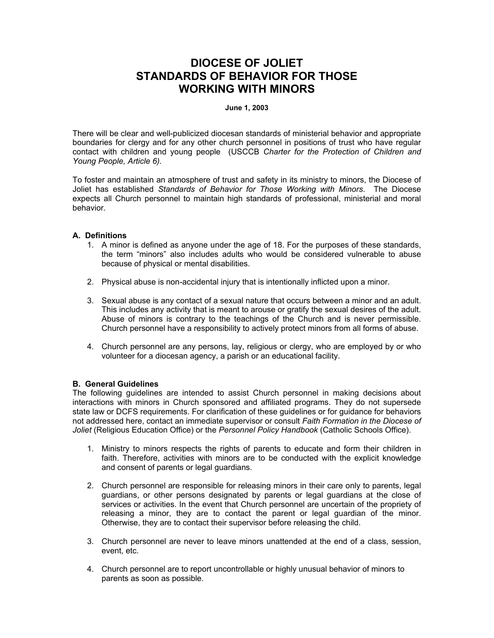# **DIOCESE OF JOLIET STANDARDS OF BEHAVIOR FOR THOSE WORKING WITH MINORS**

#### **June 1, 2003**

There will be clear and well-publicized diocesan standards of ministerial behavior and appropriate boundaries for clergy and for any other church personnel in positions of trust who have regular contact with children and young people (USCCB *Charter for the Protection of Children and Young People, Article 6).* 

To foster and maintain an atmosphere of trust and safety in its ministry to minors, the Diocese of Joliet has established *Standards of Behavior for Those Working with Minors*. The Diocese expects all Church personnel to maintain high standards of professional, ministerial and moral behavior.

#### **A. Definitions**

- 1. A minor is defined as anyone under the age of 18. For the purposes of these standards, the term "minors" also includes adults who would be considered vulnerable to abuse because of physical or mental disabilities.
- 2. Physical abuse is non-accidental injury that is intentionally inflicted upon a minor.
- 3. Sexual abuse is any contact of a sexual nature that occurs between a minor and an adult. This includes any activity that is meant to arouse or gratify the sexual desires of the adult. Abuse of minors is contrary to the teachings of the Church and is never permissible. Church personnel have a responsibility to actively protect minors from all forms of abuse.
- 4. Church personnel are any persons, lay, religious or clergy, who are employed by or who volunteer for a diocesan agency, a parish or an educational facility.

## **B. General Guidelines**

The following guidelines are intended to assist Church personnel in making decisions about interactions with minors in Church sponsored and affiliated programs. They do not supersede state law or DCFS requirements. For clarification of these guidelines or for guidance for behaviors not addressed here, contact an immediate supervisor or consult *Faith Formation in the Diocese of Joliet* (Religious Education Office) or the *Personnel Policy Handbook* (Catholic Schools Office).

- 1. Ministry to minors respects the rights of parents to educate and form their children in faith. Therefore, activities with minors are to be conducted with the explicit knowledge and consent of parents or legal guardians.
- 2. Church personnel are responsible for releasing minors in their care only to parents, legal guardians, or other persons designated by parents or legal guardians at the close of services or activities. In the event that Church personnel are uncertain of the propriety of releasing a minor, they are to contact the parent or legal guardian of the minor. Otherwise, they are to contact their supervisor before releasing the child.
- 3. Church personnel are never to leave minors unattended at the end of a class, session, event, etc.
- 4. Church personnel are to report uncontrollable or highly unusual behavior of minors to parents as soon as possible.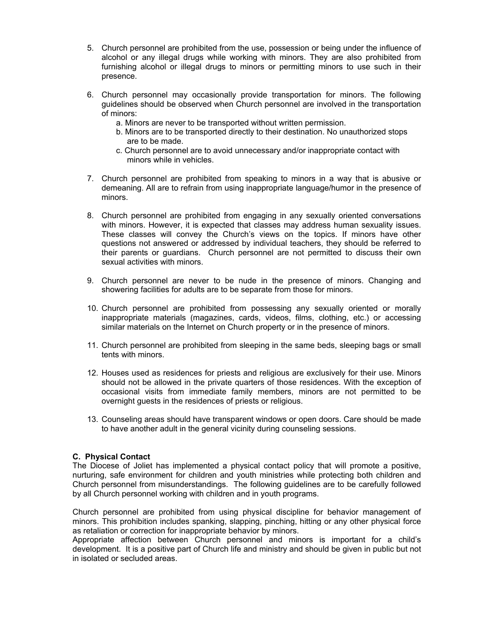- 5. Church personnel are prohibited from the use, possession or being under the influence of alcohol or any illegal drugs while working with minors. They are also prohibited from furnishing alcohol or illegal drugs to minors or permitting minors to use such in their presence.
- 6. Church personnel may occasionally provide transportation for minors. The following guidelines should be observed when Church personnel are involved in the transportation of minors:
	- a. Minors are never to be transported without written permission.
	- b. Minors are to be transported directly to their destination. No unauthorized stops are to be made.
	- c. Church personnel are to avoid unnecessary and/or inappropriate contact with minors while in vehicles.
- 7. Church personnel are prohibited from speaking to minors in a way that is abusive or demeaning. All are to refrain from using inappropriate language/humor in the presence of minors.
- 8. Church personnel are prohibited from engaging in any sexually oriented conversations with minors. However, it is expected that classes may address human sexuality issues. These classes will convey the Church's views on the topics. If minors have other questions not answered or addressed by individual teachers, they should be referred to their parents or guardians. Church personnel are not permitted to discuss their own sexual activities with minors.
- 9. Church personnel are never to be nude in the presence of minors. Changing and showering facilities for adults are to be separate from those for minors.
- 10. Church personnel are prohibited from possessing any sexually oriented or morally inappropriate materials (magazines, cards, videos, films, clothing, etc.) or accessing similar materials on the Internet on Church property or in the presence of minors.
- 11. Church personnel are prohibited from sleeping in the same beds, sleeping bags or small tents with minors.
- 12. Houses used as residences for priests and religious are exclusively for their use. Minors should not be allowed in the private quarters of those residences. With the exception of occasional visits from immediate family members, minors are not permitted to be overnight guests in the residences of priests or religious.
- 13. Counseling areas should have transparent windows or open doors. Care should be made to have another adult in the general vicinity during counseling sessions.

## **C. Physical Contact**

The Diocese of Joliet has implemented a physical contact policy that will promote a positive, nurturing, safe environment for children and youth ministries while protecting both children and Church personnel from misunderstandings. The following guidelines are to be carefully followed by all Church personnel working with children and in youth programs.

Church personnel are prohibited from using physical discipline for behavior management of minors. This prohibition includes spanking, slapping, pinching, hitting or any other physical force as retaliation or correction for inappropriate behavior by minors.

Appropriate affection between Church personnel and minors is important for a child's development. It is a positive part of Church life and ministry and should be given in public but not in isolated or secluded areas.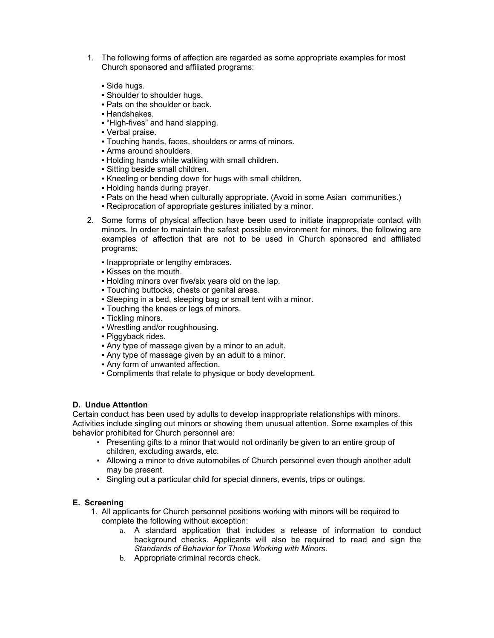- 1. The following forms of affection are regarded as some appropriate examples for most Church sponsored and affiliated programs:
	- Side hugs.
	- Shoulder to shoulder hugs.
	- Pats on the shoulder or back.
	- Handshakes.
	- "High-fives" and hand slapping.
	- Verbal praise.
	- Touching hands, faces, shoulders or arms of minors.
	- **Arms around shoulders.**
	- **.** Holding hands while walking with small children.
	- Sitting beside small children.
	- Kneeling or bending down for hugs with small children.
	- Holding hands during prayer.
	- Pats on the head when culturally appropriate. (Avoid in some Asian communities.)
	- Reciprocation of appropriate gestures initiated by a minor.
- 2. Some forms of physical affection have been used to initiate inappropriate contact with minors. In order to maintain the safest possible environment for minors, the following are examples of affection that are not to be used in Church sponsored and affiliated programs:
	- Inappropriate or lengthy embraces.
	- Kisses on the mouth.
	- Holding minors over five/six years old on the lap.
	- Touching buttocks, chests or genital areas.
	- Sleeping in a bed, sleeping bag or small tent with a minor.
	- Touching the knees or legs of minors.
	- Tickling minors.
	- Wrestling and/or roughhousing.
	- Piggyback rides.
	- Any type of massage given by a minor to an adult.
	- Any type of massage given by an adult to a minor.
	- Any form of unwanted affection.
	- Compliments that relate to physique or body development.

## **D. Undue Attention**

Certain conduct has been used by adults to develop inappropriate relationships with minors. Activities include singling out minors or showing them unusual attention. Some examples of this behavior prohibited for Church personnel are:

- Presenting gifts to a minor that would not ordinarily be given to an entire group of children, excluding awards, etc.
- Allowing a minor to drive automobiles of Church personnel even though another adult may be present.
- Singling out a particular child for special dinners, events, trips or outings.

## **E. Screening**

- 1. All applicants for Church personnel positions working with minors will be required to complete the following without exception:
	- a. A standard application that includes a release of information to conduct background checks. Applicants will also be required to read and sign the *Standards of Behavior for Those Working with Minors*.
	- b. Appropriate criminal records check.